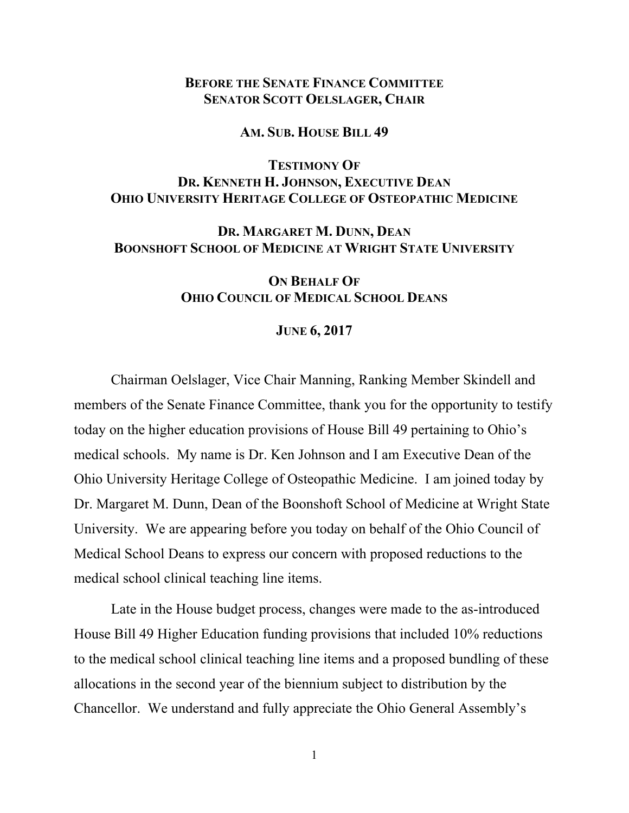## **BEFORE THE SENATE FINANCE COMMITTEE SENATOR SCOTT OELSLAGER, CHAIR**

#### **AM. SUB. HOUSE BILL 49**

# **TESTIMONY OF DR. KENNETH H. JOHNSON, EXECUTIVE DEAN OHIO UNIVERSITY HERITAGE COLLEGE OF OSTEOPATHIC MEDICINE**

## **DR. MARGARET M. DUNN, DEAN BOONSHOFT SCHOOL OF MEDICINE AT WRIGHT STATE UNIVERSITY**

## **ON BEHALF OF OHIO COUNCIL OF MEDICAL SCHOOL DEANS**

#### **JUNE 6, 2017**

Chairman Oelslager, Vice Chair Manning, Ranking Member Skindell and members of the Senate Finance Committee, thank you for the opportunity to testify today on the higher education provisions of House Bill 49 pertaining to Ohio's medical schools. My name is Dr. Ken Johnson and I am Executive Dean of the Ohio University Heritage College of Osteopathic Medicine. I am joined today by Dr. Margaret M. Dunn, Dean of the Boonshoft School of Medicine at Wright State University. We are appearing before you today on behalf of the Ohio Council of Medical School Deans to express our concern with proposed reductions to the medical school clinical teaching line items.

Late in the House budget process, changes were made to the as-introduced House Bill 49 Higher Education funding provisions that included 10% reductions to the medical school clinical teaching line items and a proposed bundling of these allocations in the second year of the biennium subject to distribution by the Chancellor. We understand and fully appreciate the Ohio General Assembly's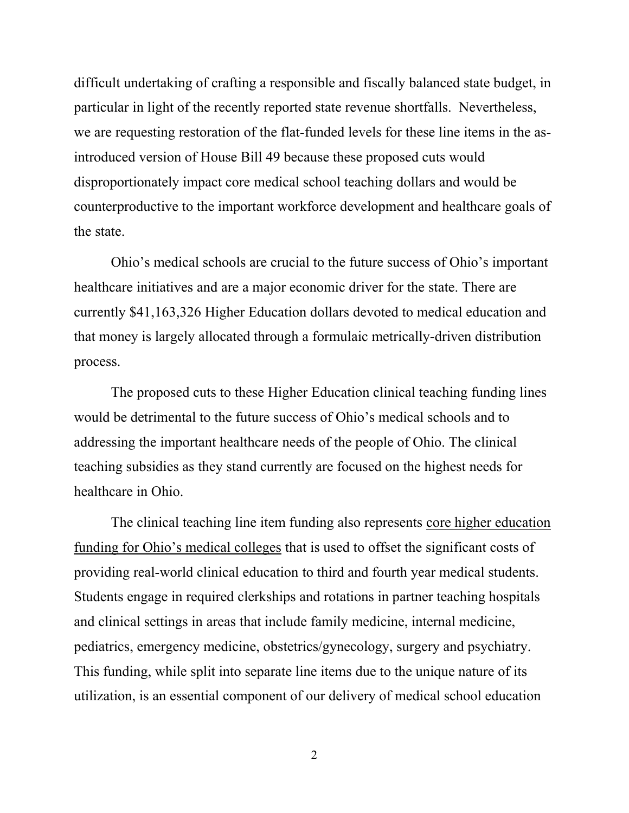difficult undertaking of crafting a responsible and fiscally balanced state budget, in particular in light of the recently reported state revenue shortfalls. Nevertheless, we are requesting restoration of the flat-funded levels for these line items in the asintroduced version of House Bill 49 because these proposed cuts would disproportionately impact core medical school teaching dollars and would be counterproductive to the important workforce development and healthcare goals of the state.

Ohio's medical schools are crucial to the future success of Ohio's important healthcare initiatives and are a major economic driver for the state. There are currently \$41,163,326 Higher Education dollars devoted to medical education and that money is largely allocated through a formulaic metrically-driven distribution process.

The proposed cuts to these Higher Education clinical teaching funding lines would be detrimental to the future success of Ohio's medical schools and to addressing the important healthcare needs of the people of Ohio. The clinical teaching subsidies as they stand currently are focused on the highest needs for healthcare in Ohio.

The clinical teaching line item funding also represents core higher education funding for Ohio's medical colleges that is used to offset the significant costs of providing real-world clinical education to third and fourth year medical students. Students engage in required clerkships and rotations in partner teaching hospitals and clinical settings in areas that include family medicine, internal medicine, pediatrics, emergency medicine, obstetrics/gynecology, surgery and psychiatry. This funding, while split into separate line items due to the unique nature of its utilization, is an essential component of our delivery of medical school education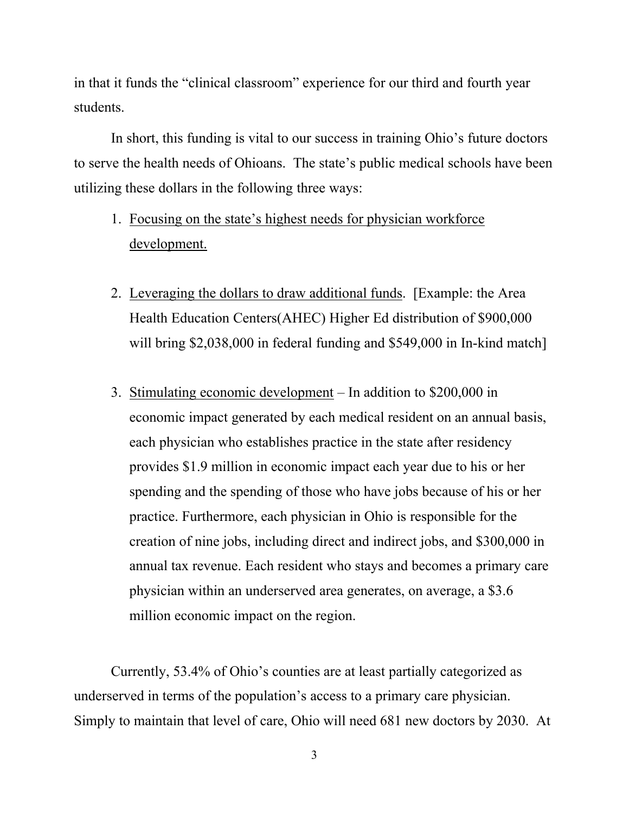in that it funds the "clinical classroom" experience for our third and fourth year students.

In short, this funding is vital to our success in training Ohio's future doctors to serve the health needs of Ohioans. The state's public medical schools have been utilizing these dollars in the following three ways:

- 1. Focusing on the state's highest needs for physician workforce development.
- 2. Leveraging the dollars to draw additional funds. [Example: the Area Health Education Centers(AHEC) Higher Ed distribution of \$900,000 will bring \$2,038,000 in federal funding and \$549,000 in In-kind match]
- 3. Stimulating economic development In addition to \$200,000 in economic impact generated by each medical resident on an annual basis, each physician who establishes practice in the state after residency provides \$1.9 million in economic impact each year due to his or her spending and the spending of those who have jobs because of his or her practice. Furthermore, each physician in Ohio is responsible for the creation of nine jobs, including direct and indirect jobs, and \$300,000 in annual tax revenue. Each resident who stays and becomes a primary care physician within an underserved area generates, on average, a \$3.6 million economic impact on the region.

Currently, 53.4% of Ohio's counties are at least partially categorized as underserved in terms of the population's access to a primary care physician. Simply to maintain that level of care, Ohio will need 681 new doctors by 2030. At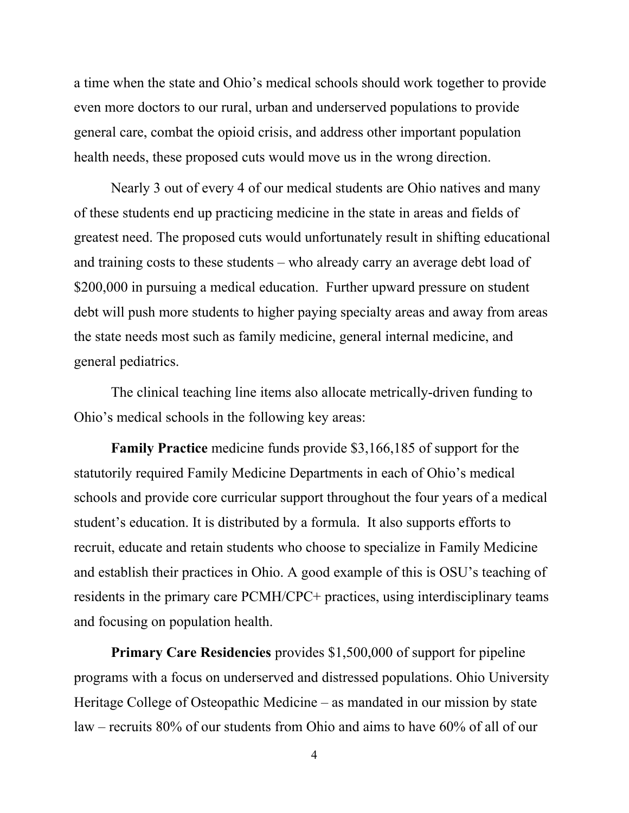a time when the state and Ohio's medical schools should work together to provide even more doctors to our rural, urban and underserved populations to provide general care, combat the opioid crisis, and address other important population health needs, these proposed cuts would move us in the wrong direction.

Nearly 3 out of every 4 of our medical students are Ohio natives and many of these students end up practicing medicine in the state in areas and fields of greatest need. The proposed cuts would unfortunately result in shifting educational and training costs to these students – who already carry an average debt load of \$200,000 in pursuing a medical education. Further upward pressure on student debt will push more students to higher paying specialty areas and away from areas the state needs most such as family medicine, general internal medicine, and general pediatrics.

The clinical teaching line items also allocate metrically-driven funding to Ohio's medical schools in the following key areas:

**Family Practice** medicine funds provide \$3,166,185 of support for the statutorily required Family Medicine Departments in each of Ohio's medical schools and provide core curricular support throughout the four years of a medical student's education. It is distributed by a formula. It also supports efforts to recruit, educate and retain students who choose to specialize in Family Medicine and establish their practices in Ohio. A good example of this is OSU's teaching of residents in the primary care PCMH/CPC+ practices, using interdisciplinary teams and focusing on population health.

**Primary Care Residencies** provides \$1,500,000 of support for pipeline programs with a focus on underserved and distressed populations. Ohio University Heritage College of Osteopathic Medicine – as mandated in our mission by state law – recruits 80% of our students from Ohio and aims to have 60% of all of our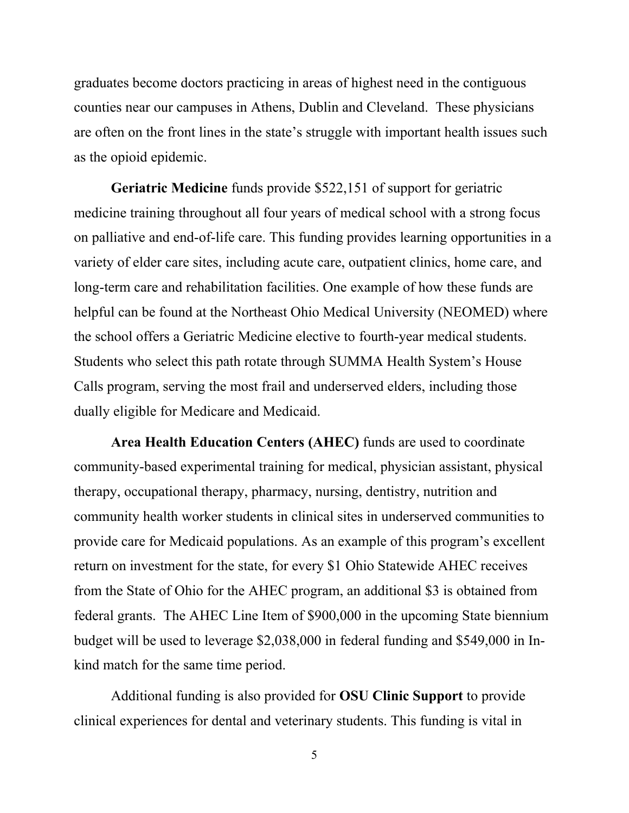graduates become doctors practicing in areas of highest need in the contiguous counties near our campuses in Athens, Dublin and Cleveland. These physicians are often on the front lines in the state's struggle with important health issues such as the opioid epidemic.

**Geriatric Medicine** funds provide \$522,151 of support for geriatric medicine training throughout all four years of medical school with a strong focus on palliative and end-of-life care. This funding provides learning opportunities in a variety of elder care sites, including acute care, outpatient clinics, home care, and long-term care and rehabilitation facilities. One example of how these funds are helpful can be found at the Northeast Ohio Medical University (NEOMED) where the school offers a Geriatric Medicine elective to fourth-year medical students. Students who select this path rotate through SUMMA Health System's House Calls program, serving the most frail and underserved elders, including those dually eligible for Medicare and Medicaid.

**Area Health Education Centers (AHEC)** funds are used to coordinate community-based experimental training for medical, physician assistant, physical therapy, occupational therapy, pharmacy, nursing, dentistry, nutrition and community health worker students in clinical sites in underserved communities to provide care for Medicaid populations. As an example of this program's excellent return on investment for the state, for every \$1 Ohio Statewide AHEC receives from the State of Ohio for the AHEC program, an additional \$3 is obtained from federal grants. The AHEC Line Item of \$900,000 in the upcoming State biennium budget will be used to leverage \$2,038,000 in federal funding and \$549,000 in Inkind match for the same time period.

Additional funding is also provided for **OSU Clinic Support** to provide clinical experiences for dental and veterinary students. This funding is vital in